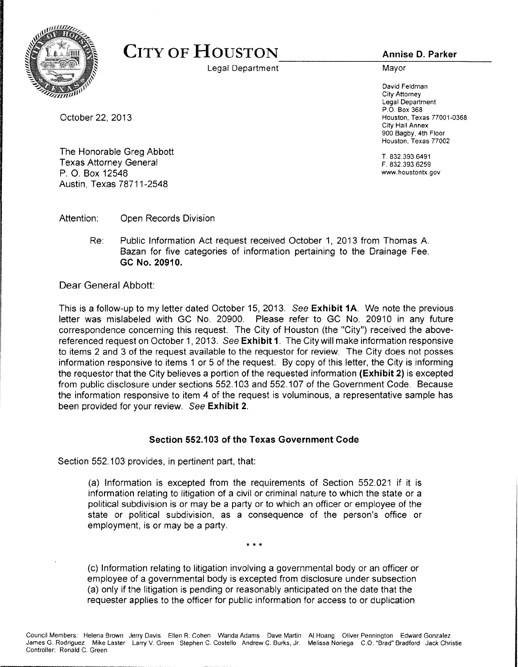

## CITY OF HOUSTON

Legal Department

**Annise D. Parker**

Mayor

David Feldman City Attorney Legal Department P.O. Box 368 Houston, Texas 77001-0368 City Hall Annex 900 Bagby, 4th Floor Houston, Texas 77002

T. 832.393.6491 F. 832.393.6259 www.houstontx.gov

October 22, 2013

The Honorable Greg Abbott Texas Attorney General P. O. Box 12548 Austin, Texas 78711-2548

Attention: Open Records Division

Re: Public Information Act request received October 1, 2013 from Thomas A. Bazan for five categories of information pertaining to the Drainage Fee. **GC No. 20910.**

Dear General Abbott:

This is a follow-up to my letter dated October 15, 2013. See **Exhibit 1A.** We note the previous letter was mislabeled with GC No. 20900. Please refer to GC No. 20910 in any future correspondence concerning this request. The City of Houston (the "City") received the abovereferenced request on October 1, 2013. See **Exhibit 1**. The City will make information responsive to items 2 and 3 of the request available to the requestor for review. The City does not posses information responsive to items 1 or 5 of the request. By copy of this letter, the City is informing the requestor that the City believes a portion of the requested information **(Exhibit 2)** is excepted from public disclosure under sections 552.103 and 552.107 of the Government Code. Because the information responsive to item 4 of the request is voluminous, a representative sample has been provided for your review. See **Exhibit 2.**

## **Section 552.103 of the Texas Government Code**

Section 552.103 provides, in pertinent part, that:

(a) Information is excepted from the requirements of Section 552.021 if it is information relating to litigation of a civil or criminal nature to which the state or a political subdivision is or may be a party or to which an officer or employee of the state or political subdivision, as a consequence of the person's office or employment, is or may be a party.

(c) Information relating to litigation involving a governmental body or an officer or employee of a governmental body is excepted from disclosure under subsection (a) only if the litigation is pending or reasonably anticipated on the date that the requester applies to the officer for public information for access to or duplication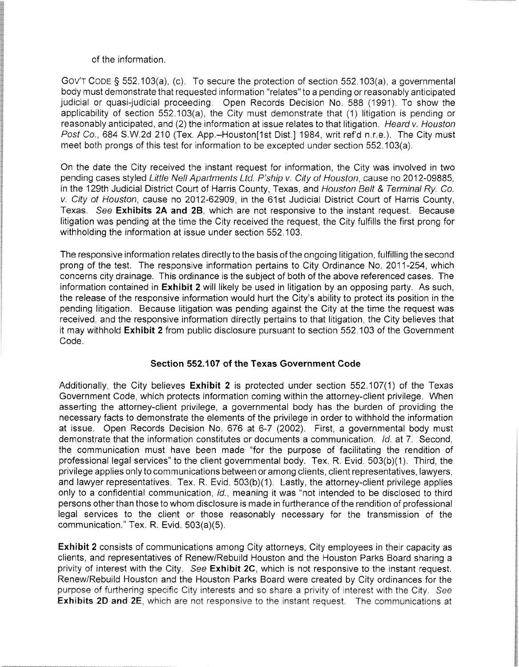## of the information.

Gov'T CODE § 552.103(a), (c). To secure the protection of section 552.103(a), a governmental body must demonstrate that requested information "relates" to a pending or reasonably anticipated judicial or quasi-judicial proceeding. Open Records Decision No. 588 (1991). To show the applicability of section 552.103(a), the City must demonstrate that (1) litigation is pending or reasonably anticipated, and (2) the information at issue relates to that litigation. Heard v. Houston Post Co., 684 S.W.2d 210 (Tex. App.-Houston[1st Dist.] 1984, writ ref'd n.r.e.). The City must meet both prongs of this test for information to be excepted under section 552.103(a).

On the date the City received the instant request for information, the City was involved in two pending cases styled Little Nell Apartments Ltd. P'ship v. City of Houston, cause no 2012-09885, in the 129th Judicial District Court of Harris County, Texas, and Houston Belt & Terminal Ry. Co. v. City of Houston, cause no 2012-62909, in the 61st Judicial District Court of Harris County, Texas. See **Exhibits** 2A **and** 2B, which are not responsive to the instant request. Because litigation was pending at the time the City received the request, the City fulfills the first prong for withholding the information at issue under section 552.103.

The responsive information relates directly to the basis of the ongoing litigation, fulfilling the second prong of the test. The responsive information pertains to City Ordinance No. 2011-254, which concerns city drainage. This ordinance is the subject of both of the above referenced cases. The information contained in **Exhibit 2** will likely be used in litigation by an opposing party. As such, the release of the responsive information would hurt the City's ability to protect its position in the pending litigation. Because litigation was pending against the City at the time the request was received, and the responsive information directly pertains to that litigation, the City believes that it may withhold **Exhibit** 2 from public disclosure pursuant to section 552.103 of the Government Code.

## **Section 552.107 of the Texas Government Code**

Additionally, the City believes **Exhibit 2** is protected under section 552.107(1) of the Texas Government Code, which protects information coming within the attorney-client privilege. When asserting the attorney-client privilege, a governmental body has the burden of providing the necessary facts to demonstrate the elements of the privilege in order to withhold the information at issue. Open Records Decision No. 676 at 6-7 (2002). First, a governmental body must demonstrate that the information constitutes or documents a communication. Id. at 7. Second, the communication must have been made "for the purpose of facilitating the rendition of professional legal services" to the client governmental body. Tex. R. Evid. 503(b)(1). Third, the privilege applies only to communications between or among clients, client representatives, lawyers, and lawyer representatives. Tex. R. Evid. 503(b)(1). Lastly, the attorney-client privilege applies only to a confidential communication, id., meaning it was "not intended to be disclosed to third persons other than those to whom disclosure is made in furtherance of the rendition of professional legal services to the client or those reasonably necessary for the transmission of the communication." Tex. R. Evid. 503(a)(5).

Exhibit 2 consists of communications among City attorneys, City employees in their capacity as clients, and representatives of Renew/Rebuild Houston and the Houston Parks Board sharing a privity of interest with the City. See Exhibit **2C,** which is not responsive to the instant request. Renew/Rebuild Houston and the Houston Parks Board were created by City ordinances for the purpose of furthering specific City interests and so share a privity of interest with the City, See Exhibits 2D and 2E, which are not responsive to the instant request. The communications at